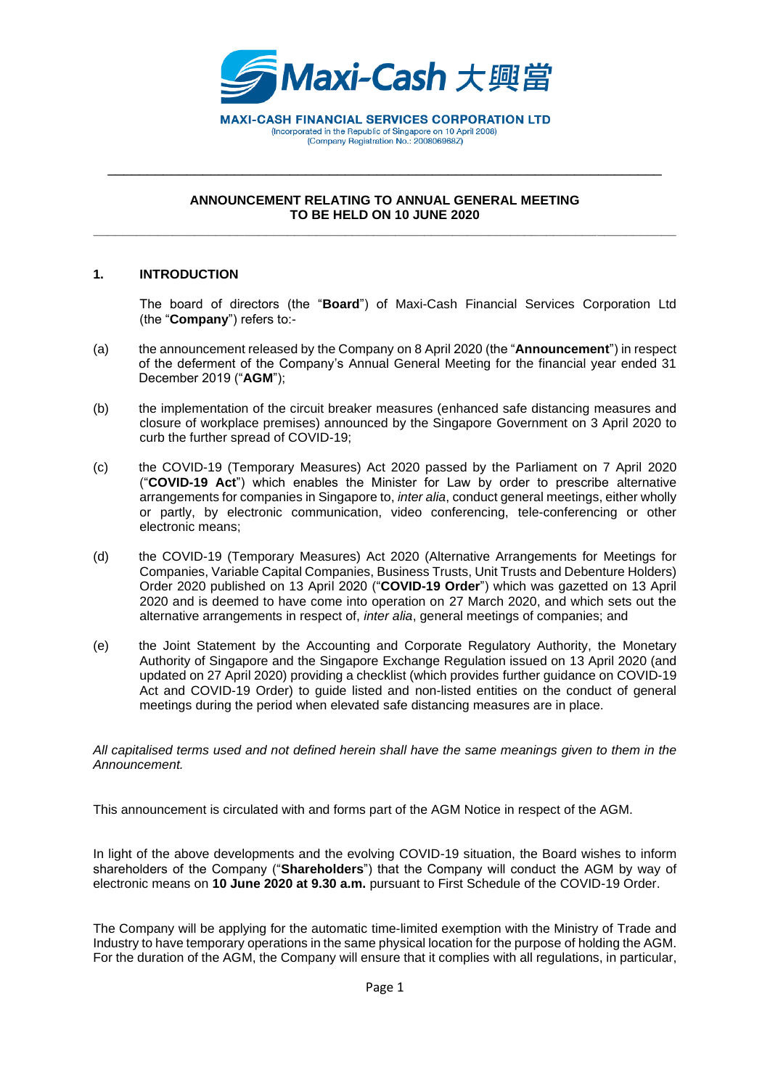

\_\_\_\_\_\_\_\_\_\_\_\_\_\_\_\_\_\_\_\_\_\_\_\_\_\_\_\_\_\_\_\_\_\_\_\_\_\_\_\_\_\_\_\_\_\_\_\_\_\_\_\_\_\_\_\_\_\_\_\_\_\_\_\_\_\_\_\_\_\_

#### **ANNOUNCEMENT RELATING TO ANNUAL GENERAL MEETING TO BE HELD ON 10 JUNE 2020 \_\_\_\_\_\_\_\_\_\_\_\_\_\_\_\_\_\_\_\_\_\_\_\_\_\_\_\_\_\_\_\_\_\_\_\_\_\_\_\_\_\_\_\_\_\_\_\_\_\_\_\_\_\_\_\_\_\_\_\_\_\_\_\_\_\_\_\_\_\_\_\_\_\_\_\_\_\_\_\_\_**

#### **1. INTRODUCTION**

The board of directors (the "**Board**") of Maxi-Cash Financial Services Corporation Ltd (the "**Company**") refers to:-

- (a) the announcement released by the Company on 8 April 2020 (the "**Announcement**") in respect of the deferment of the Company's Annual General Meeting for the financial year ended 31 December 2019 ("**AGM**");
- (b) the implementation of the circuit breaker measures (enhanced safe distancing measures and closure of workplace premises) announced by the Singapore Government on 3 April 2020 to curb the further spread of COVID-19;
- (c) the COVID-19 (Temporary Measures) Act 2020 passed by the Parliament on 7 April 2020 ("**COVID-19 Act**") which enables the Minister for Law by order to prescribe alternative arrangements for companies in Singapore to, *inter alia*, conduct general meetings, either wholly or partly, by electronic communication, video conferencing, tele-conferencing or other electronic means;
- (d) the COVID-19 (Temporary Measures) Act 2020 (Alternative Arrangements for Meetings for Companies, Variable Capital Companies, Business Trusts, Unit Trusts and Debenture Holders) Order 2020 published on 13 April 2020 ("**COVID-19 Order**") which was gazetted on 13 April 2020 and is deemed to have come into operation on 27 March 2020, and which sets out the alternative arrangements in respect of, *inter alia*, general meetings of companies; and
- (e) the Joint Statement by the Accounting and Corporate Regulatory Authority, the Monetary Authority of Singapore and the Singapore Exchange Regulation issued on 13 April 2020 (and updated on 27 April 2020) providing a checklist (which provides further guidance on COVID-19 Act and COVID-19 Order) to guide listed and non-listed entities on the conduct of general meetings during the period when elevated safe distancing measures are in place.

#### *All capitalised terms used and not defined herein shall have the same meanings given to them in the Announcement.*

This announcement is circulated with and forms part of the AGM Notice in respect of the AGM.

In light of the above developments and the evolving COVID-19 situation, the Board wishes to inform shareholders of the Company ("**Shareholders**") that the Company will conduct the AGM by way of electronic means on **10 June 2020 at 9.30 a.m.** pursuant to First Schedule of the COVID-19 Order.

The Company will be applying for the automatic time-limited exemption with the Ministry of Trade and Industry to have temporary operations in the same physical location for the purpose of holding the AGM. For the duration of the AGM, the Company will ensure that it complies with all regulations, in particular,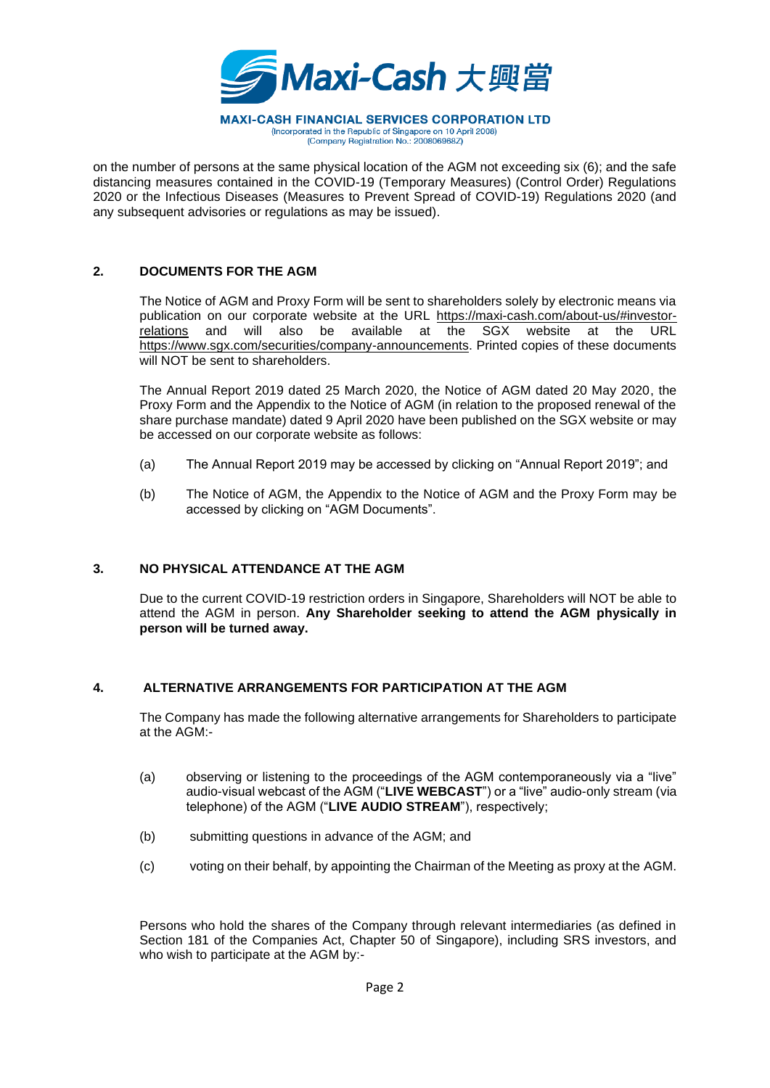

on the number of persons at the same physical location of the AGM not exceeding six (6); and the safe distancing measures contained in the COVID-19 (Temporary Measures) (Control Order) Regulations 2020 or the Infectious Diseases (Measures to Prevent Spread of COVID-19) Regulations 2020 (and any subsequent advisories or regulations as may be issued).

## **2. DOCUMENTS FOR THE AGM**

The Notice of AGM and Proxy Form will be sent to shareholders solely by electronic means via publication on our corporate website at the URL [https://maxi-cash.com/about-us/#investor](https://maxi-cash.com/about-us/#investor-relations)[relations](https://maxi-cash.com/about-us/#investor-relations) and will also be available at the SGX website at the URL [https://www.sgx.com/securities/company-announcements.](https://www.sgx.com/securities/company-announcements) Printed copies of these documents will NOT be sent to shareholders.

The Annual Report 2019 dated 25 March 2020, the Notice of AGM dated 20 May 2020, the Proxy Form and the Appendix to the Notice of AGM (in relation to the proposed renewal of the share purchase mandate) dated 9 April 2020 have been published on the SGX website or may be accessed on our corporate website as follows:

- (a) The Annual Report 2019 may be accessed by clicking on "Annual Report 2019"; and
- (b) The Notice of AGM, the Appendix to the Notice of AGM and the Proxy Form may be accessed by clicking on "AGM Documents".

## **3. NO PHYSICAL ATTENDANCE AT THE AGM**

Due to the current COVID-19 restriction orders in Singapore, Shareholders will NOT be able to attend the AGM in person. **Any Shareholder seeking to attend the AGM physically in person will be turned away.**

## **4. ALTERNATIVE ARRANGEMENTS FOR PARTICIPATION AT THE AGM**

The Company has made the following alternative arrangements for Shareholders to participate at the AGM:-

- (a) observing or listening to the proceedings of the AGM contemporaneously via a "live" audio-visual webcast of the AGM ("**LIVE WEBCAST**") or a "live" audio-only stream (via telephone) of the AGM ("**LIVE AUDIO STREAM**"), respectively;
- (b) submitting questions in advance of the AGM; and
- (c) voting on their behalf, by appointing the Chairman of the Meeting as proxy at the AGM.

Persons who hold the shares of the Company through relevant intermediaries (as defined in Section 181 of the Companies Act, Chapter 50 of Singapore), including SRS investors, and who wish to participate at the AGM by:-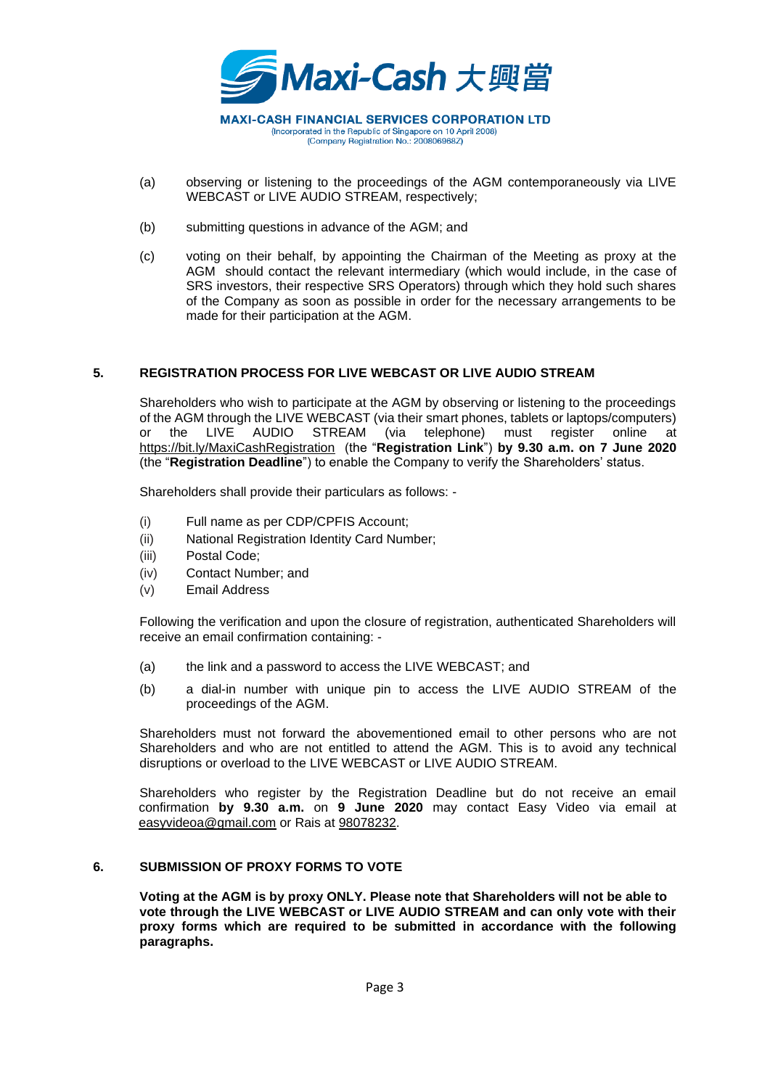

(Incorporated in the Republic of Singapore on 10 April 2008) (Company Registration No.: 200806968Z)

- (a) observing or listening to the proceedings of the AGM contemporaneously via LIVE WEBCAST or LIVE AUDIO STREAM, respectively;
- (b) submitting questions in advance of the AGM; and
- (c) voting on their behalf, by appointing the Chairman of the Meeting as proxy at the AGM should contact the relevant intermediary (which would include, in the case of SRS investors, their respective SRS Operators) through which they hold such shares of the Company as soon as possible in order for the necessary arrangements to be made for their participation at the AGM.

# **5. REGISTRATION PROCESS FOR LIVE WEBCAST OR LIVE AUDIO STREAM**

Shareholders who wish to participate at the AGM by observing or listening to the proceedings of the AGM through the LIVE WEBCAST (via their smart phones, tablets or laptops/computers) or the LIVE AUDIO STREAM (via telephone) must register online at <https://bit.ly/MaxiCashRegistration> (the "**Registration Link**") **by 9.30 a.m. on 7 June 2020**  (the "**Registration Deadline**") to enable the Company to verify the Shareholders' status.

Shareholders shall provide their particulars as follows: -

- (i) Full name as per CDP/CPFIS Account;
- (ii) National Registration Identity Card Number;
- (iii) Postal Code;
- (iv) Contact Number; and
- (v) Email Address

Following the verification and upon the closure of registration, authenticated Shareholders will receive an email confirmation containing: -

- (a) the link and a password to access the LIVE WEBCAST; and
- (b) a dial-in number with unique pin to access the LIVE AUDIO STREAM of the proceedings of the AGM.

Shareholders must not forward the abovementioned email to other persons who are not Shareholders and who are not entitled to attend the AGM. This is to avoid any technical disruptions or overload to the LIVE WEBCAST or LIVE AUDIO STREAM.

Shareholders who register by the Registration Deadline but do not receive an email confirmation **by 9.30 a.m.** on **9 June 2020** may contact Easy Video via email at easyvideoa@gmail.com or Rais at 98078232.

## **6. SUBMISSION OF PROXY FORMS TO VOTE**

**Voting at the AGM is by proxy ONLY. Please note that Shareholders will not be able to vote through the LIVE WEBCAST or LIVE AUDIO STREAM and can only vote with their proxy forms which are required to be submitted in accordance with the following paragraphs.**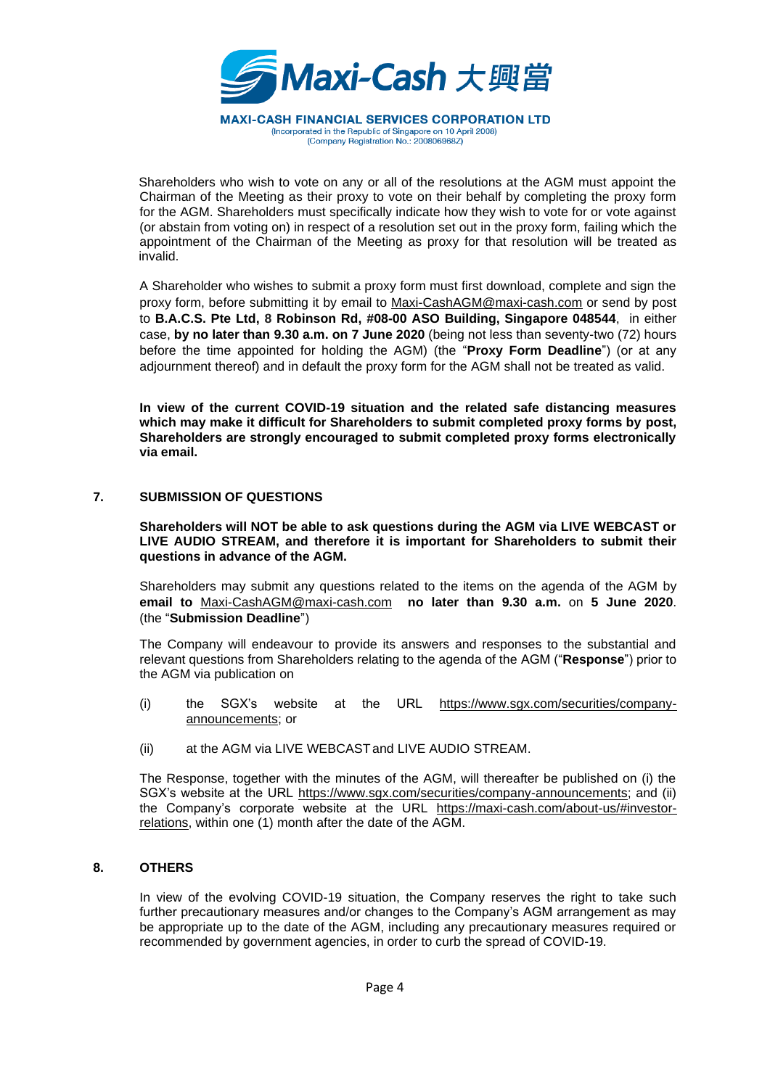

Shareholders who wish to vote on any or all of the resolutions at the AGM must appoint the Chairman of the Meeting as their proxy to vote on their behalf by completing the proxy form for the AGM. Shareholders must specifically indicate how they wish to vote for or vote against (or abstain from voting on) in respect of a resolution set out in the proxy form, failing which the appointment of the Chairman of the Meeting as proxy for that resolution will be treated as invalid.

A Shareholder who wishes to submit a proxy form must first download, complete and sign the proxy form, before submitting it by email to Maxi-CashAGM@maxi-cash.com or send by post to **B.A.C.S. Pte Ltd, 8 Robinson Rd, #08-00 ASO Building, Singapore 048544**, in either case, **by no later than 9.30 a.m. on 7 June 2020** (being not less than seventy-two (72) hours before the time appointed for holding the AGM) (the "**Proxy Form Deadline**") (or at any adjournment thereof) and in default the proxy form for the AGM shall not be treated as valid.

**In view of the current COVID-19 situation and the related safe distancing measures which may make it difficult for Shareholders to submit completed proxy forms by post, Shareholders are strongly encouraged to submit completed proxy forms electronically via email.**

#### **7. SUBMISSION OF QUESTIONS**

**Shareholders will NOT be able to ask questions during the AGM via LIVE WEBCAST or LIVE AUDIO STREAM, and therefore it is important for Shareholders to submit their questions in advance of the AGM.**

Shareholders may submit any questions related to the items on the agenda of the AGM by **email to** Maxi-CashAGM@maxi-cash.com **no later than 9.30 a.m.** on **5 June 2020**. (the "**Submission Deadline**")

The Company will endeavour to provide its answers and responses to the substantial and relevant questions from Shareholders relating to the agenda of the AGM ("**Response**") prior to the AGM via publication on

- (i) the SGX's website at the URL [https://www.sgx.com/securities/company](https://www.sgx.com/securities/company-announcements)[announcements;](https://www.sgx.com/securities/company-announcements) or
- (ii) at the AGM via LIVE WEBCASTand LIVE AUDIO STREAM.

The Response, together with the minutes of the AGM, will thereafter be published on (i) the SGX's website at the URL https://www.sgx.com/securities/company-announcements; and (ii) the Company's corporate website at the URL [https://maxi-cash.com/about-us/#investor](https://maxi-cash.com/about-us/#investor- relations)[relations,](https://maxi-cash.com/about-us/#investor- relations) within one (1) month after the date of the AGM.

#### **8. OTHERS**

In view of the evolving COVID-19 situation, the Company reserves the right to take such further precautionary measures and/or changes to the Company's AGM arrangement as may be appropriate up to the date of the AGM, including any precautionary measures required or recommended by government agencies, in order to curb the spread of COVID-19.